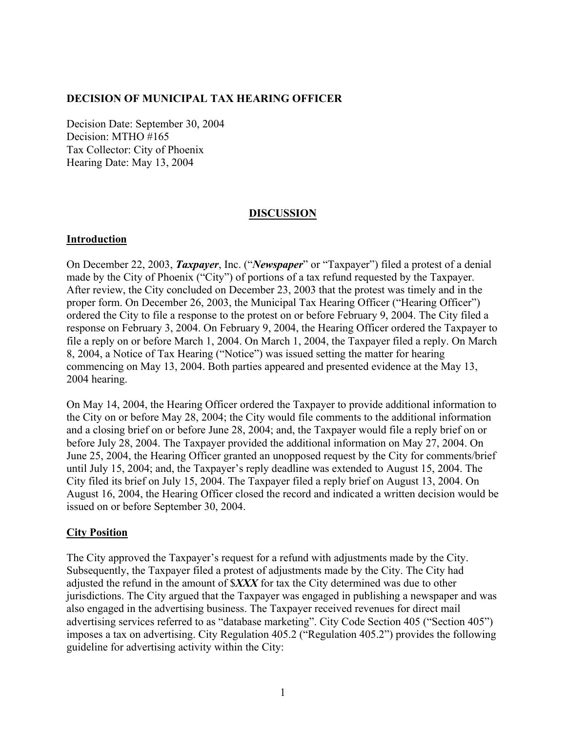## **DECISION OF MUNICIPAL TAX HEARING OFFICER**

Decision Date: September 30, 2004 Decision: MTHO #165 Tax Collector: City of Phoenix Hearing Date: May 13, 2004

#### **DISCUSSION**

## **Introduction**

On December 22, 2003, *Taxpayer*, Inc. ("*Newspaper*" or "Taxpayer") filed a protest of a denial made by the City of Phoenix ("City") of portions of a tax refund requested by the Taxpayer. After review, the City concluded on December 23, 2003 that the protest was timely and in the proper form. On December 26, 2003, the Municipal Tax Hearing Officer ("Hearing Officer") ordered the City to file a response to the protest on or before February 9, 2004. The City filed a response on February 3, 2004. On February 9, 2004, the Hearing Officer ordered the Taxpayer to file a reply on or before March 1, 2004. On March 1, 2004, the Taxpayer filed a reply. On March 8, 2004, a Notice of Tax Hearing ("Notice") was issued setting the matter for hearing commencing on May 13, 2004. Both parties appeared and presented evidence at the May 13, 2004 hearing.

On May 14, 2004, the Hearing Officer ordered the Taxpayer to provide additional information to the City on or before May 28, 2004; the City would file comments to the additional information and a closing brief on or before June 28, 2004; and, the Taxpayer would file a reply brief on or before July 28, 2004. The Taxpayer provided the additional information on May 27, 2004. On June 25, 2004, the Hearing Officer granted an unopposed request by the City for comments/brief until July 15, 2004; and, the Taxpayer's reply deadline was extended to August 15, 2004. The City filed its brief on July 15, 2004. The Taxpayer filed a reply brief on August 13, 2004. On August 16, 2004, the Hearing Officer closed the record and indicated a written decision would be issued on or before September 30, 2004.

#### **City Position**

The City approved the Taxpayer's request for a refund with adjustments made by the City. Subsequently, the Taxpayer filed a protest of adjustments made by the City. The City had adjusted the refund in the amount of \$*XXX* for tax the City determined was due to other jurisdictions. The City argued that the Taxpayer was engaged in publishing a newspaper and was also engaged in the advertising business. The Taxpayer received revenues for direct mail advertising services referred to as "database marketing". City Code Section 405 ("Section 405") imposes a tax on advertising. City Regulation 405.2 ("Regulation 405.2") provides the following guideline for advertising activity within the City: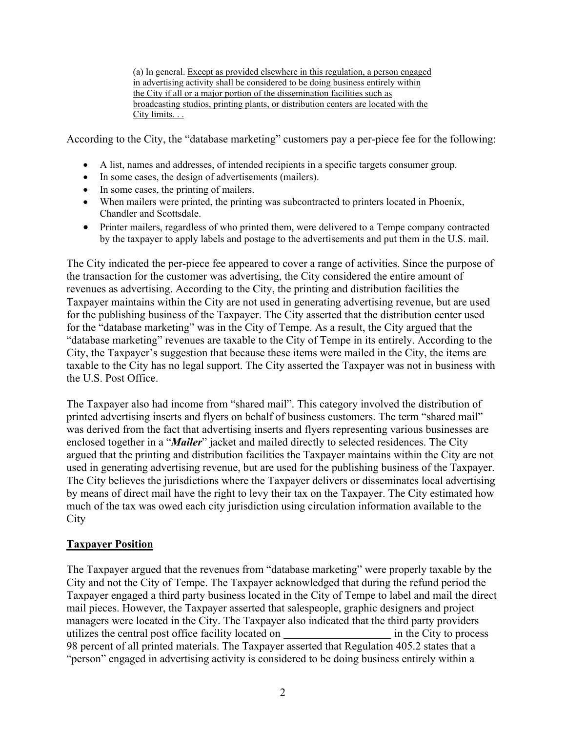(a) In general. Except as provided elsewhere in this regulation, a person engaged in advertising activity shall be considered to be doing business entirely within the City if all or a major portion of the dissemination facilities such as broadcasting studios, printing plants, or distribution centers are located with the City limits. . .

According to the City, the "database marketing" customers pay a per-piece fee for the following:

- A list, names and addresses, of intended recipients in a specific targets consumer group.
- In some cases, the design of advertisements (mailers).
- In some cases, the printing of mailers.
- When mailers were printed, the printing was subcontracted to printers located in Phoenix, Chandler and Scottsdale.
- Printer mailers, regardless of who printed them, were delivered to a Tempe company contracted by the taxpayer to apply labels and postage to the advertisements and put them in the U.S. mail.

The City indicated the per-piece fee appeared to cover a range of activities. Since the purpose of the transaction for the customer was advertising, the City considered the entire amount of revenues as advertising. According to the City, the printing and distribution facilities the Taxpayer maintains within the City are not used in generating advertising revenue, but are used for the publishing business of the Taxpayer. The City asserted that the distribution center used for the "database marketing" was in the City of Tempe. As a result, the City argued that the "database marketing" revenues are taxable to the City of Tempe in its entirely. According to the City, the Taxpayer's suggestion that because these items were mailed in the City, the items are taxable to the City has no legal support. The City asserted the Taxpayer was not in business with the U.S. Post Office.

The Taxpayer also had income from "shared mail". This category involved the distribution of printed advertising inserts and flyers on behalf of business customers. The term "shared mail" was derived from the fact that advertising inserts and flyers representing various businesses are enclosed together in a "*Mailer*" jacket and mailed directly to selected residences. The City argued that the printing and distribution facilities the Taxpayer maintains within the City are not used in generating advertising revenue, but are used for the publishing business of the Taxpayer. The City believes the jurisdictions where the Taxpayer delivers or disseminates local advertising by means of direct mail have the right to levy their tax on the Taxpayer. The City estimated how much of the tax was owed each city jurisdiction using circulation information available to the City

# **Taxpayer Position**

The Taxpayer argued that the revenues from "database marketing" were properly taxable by the City and not the City of Tempe. The Taxpayer acknowledged that during the refund period the Taxpayer engaged a third party business located in the City of Tempe to label and mail the direct mail pieces. However, the Taxpayer asserted that salespeople, graphic designers and project managers were located in the City. The Taxpayer also indicated that the third party providers utilizes the central post office facility located on in the City to process 98 percent of all printed materials. The Taxpayer asserted that Regulation 405.2 states that a "person" engaged in advertising activity is considered to be doing business entirely within a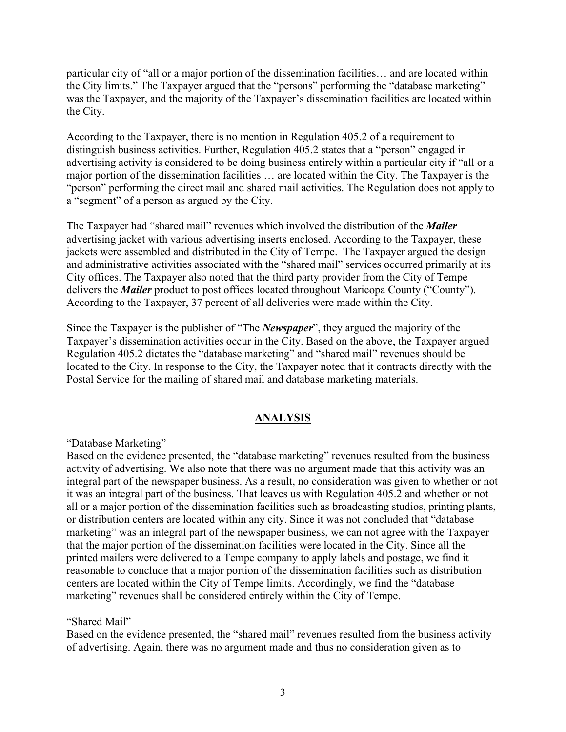particular city of "all or a major portion of the dissemination facilities… and are located within the City limits." The Taxpayer argued that the "persons" performing the "database marketing" was the Taxpayer, and the majority of the Taxpayer's dissemination facilities are located within the City.

According to the Taxpayer, there is no mention in Regulation 405.2 of a requirement to distinguish business activities. Further, Regulation 405.2 states that a "person" engaged in advertising activity is considered to be doing business entirely within a particular city if "all or a major portion of the dissemination facilities … are located within the City. The Taxpayer is the "person" performing the direct mail and shared mail activities. The Regulation does not apply to a "segment" of a person as argued by the City.

The Taxpayer had "shared mail" revenues which involved the distribution of the *Mailer* advertising jacket with various advertising inserts enclosed. According to the Taxpayer, these jackets were assembled and distributed in the City of Tempe. The Taxpayer argued the design and administrative activities associated with the "shared mail" services occurred primarily at its City offices. The Taxpayer also noted that the third party provider from the City of Tempe delivers the *Mailer* product to post offices located throughout Maricopa County ("County"). According to the Taxpayer, 37 percent of all deliveries were made within the City.

Since the Taxpayer is the publisher of "The *Newspaper*", they argued the majority of the Taxpayer's dissemination activities occur in the City. Based on the above, the Taxpayer argued Regulation 405.2 dictates the "database marketing" and "shared mail" revenues should be located to the City. In response to the City, the Taxpayer noted that it contracts directly with the Postal Service for the mailing of shared mail and database marketing materials.

# **ANALYSIS**

# "Database Marketing"

Based on the evidence presented, the "database marketing" revenues resulted from the business activity of advertising. We also note that there was no argument made that this activity was an integral part of the newspaper business. As a result, no consideration was given to whether or not it was an integral part of the business. That leaves us with Regulation 405.2 and whether or not all or a major portion of the dissemination facilities such as broadcasting studios, printing plants, or distribution centers are located within any city. Since it was not concluded that "database marketing" was an integral part of the newspaper business, we can not agree with the Taxpayer that the major portion of the dissemination facilities were located in the City. Since all the printed mailers were delivered to a Tempe company to apply labels and postage, we find it reasonable to conclude that a major portion of the dissemination facilities such as distribution centers are located within the City of Tempe limits. Accordingly, we find the "database marketing" revenues shall be considered entirely within the City of Tempe.

#### "Shared Mail"

Based on the evidence presented, the "shared mail" revenues resulted from the business activity of advertising. Again, there was no argument made and thus no consideration given as to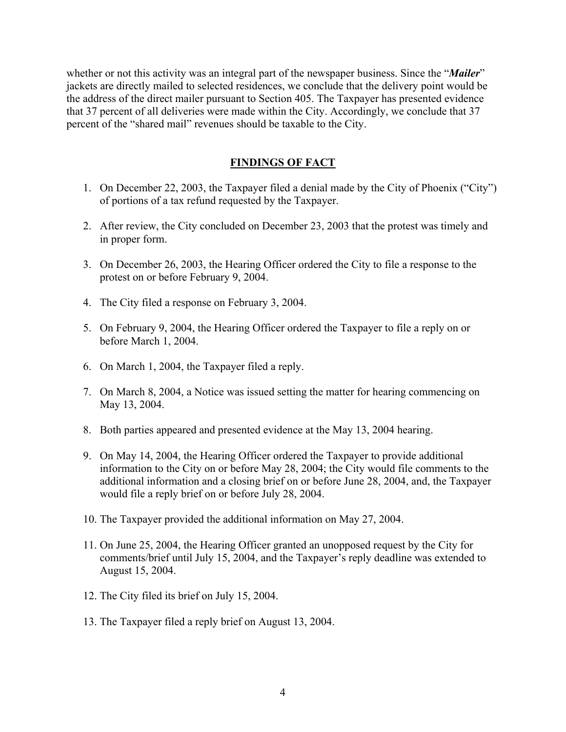whether or not this activity was an integral part of the newspaper business. Since the "*Mailer*" jackets are directly mailed to selected residences, we conclude that the delivery point would be the address of the direct mailer pursuant to Section 405. The Taxpayer has presented evidence that 37 percent of all deliveries were made within the City. Accordingly, we conclude that 37 percent of the "shared mail" revenues should be taxable to the City.

## **FINDINGS OF FACT**

- 1. On December 22, 2003, the Taxpayer filed a denial made by the City of Phoenix ("City") of portions of a tax refund requested by the Taxpayer.
- 2. After review, the City concluded on December 23, 2003 that the protest was timely and in proper form.
- 3. On December 26, 2003, the Hearing Officer ordered the City to file a response to the protest on or before February 9, 2004.
- 4. The City filed a response on February 3, 2004.
- 5. On February 9, 2004, the Hearing Officer ordered the Taxpayer to file a reply on or before March 1, 2004.
- 6. On March 1, 2004, the Taxpayer filed a reply.
- 7. On March 8, 2004, a Notice was issued setting the matter for hearing commencing on May 13, 2004.
- 8. Both parties appeared and presented evidence at the May 13, 2004 hearing.
- 9. On May 14, 2004, the Hearing Officer ordered the Taxpayer to provide additional information to the City on or before May 28, 2004; the City would file comments to the additional information and a closing brief on or before June 28, 2004, and, the Taxpayer would file a reply brief on or before July 28, 2004.
- 10. The Taxpayer provided the additional information on May 27, 2004.
- 11. On June 25, 2004, the Hearing Officer granted an unopposed request by the City for comments/brief until July 15, 2004, and the Taxpayer's reply deadline was extended to August 15, 2004.
- 12. The City filed its brief on July 15, 2004.
- 13. The Taxpayer filed a reply brief on August 13, 2004.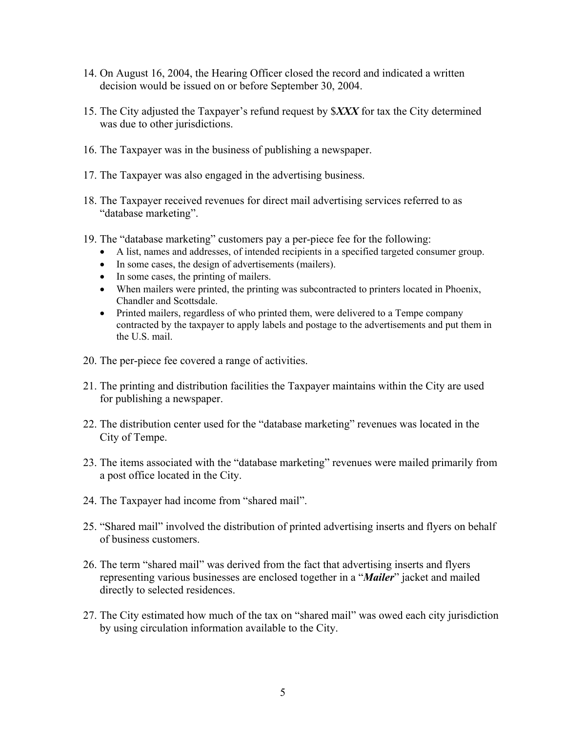- 14. On August 16, 2004, the Hearing Officer closed the record and indicated a written decision would be issued on or before September 30, 2004.
- 15. The City adjusted the Taxpayer's refund request by \$*XXX* for tax the City determined was due to other jurisdictions.
- 16. The Taxpayer was in the business of publishing a newspaper.
- 17. The Taxpayer was also engaged in the advertising business.
- 18. The Taxpayer received revenues for direct mail advertising services referred to as "database marketing".
- 19. The "database marketing" customers pay a per-piece fee for the following:
	- A list, names and addresses, of intended recipients in a specified targeted consumer group.
	- In some cases, the design of advertisements (mailers).
	- In some cases, the printing of mailers.
	- When mailers were printed, the printing was subcontracted to printers located in Phoenix, Chandler and Scottsdale.
	- Printed mailers, regardless of who printed them, were delivered to a Tempe company contracted by the taxpayer to apply labels and postage to the advertisements and put them in the U.S. mail.
- 20. The per-piece fee covered a range of activities.
- 21. The printing and distribution facilities the Taxpayer maintains within the City are used for publishing a newspaper.
- 22. The distribution center used for the "database marketing" revenues was located in the City of Tempe.
- 23. The items associated with the "database marketing" revenues were mailed primarily from a post office located in the City.
- 24. The Taxpayer had income from "shared mail".
- 25. "Shared mail" involved the distribution of printed advertising inserts and flyers on behalf of business customers.
- 26. The term "shared mail" was derived from the fact that advertising inserts and flyers representing various businesses are enclosed together in a "*Mailer*" jacket and mailed directly to selected residences.
- 27. The City estimated how much of the tax on "shared mail" was owed each city jurisdiction by using circulation information available to the City.